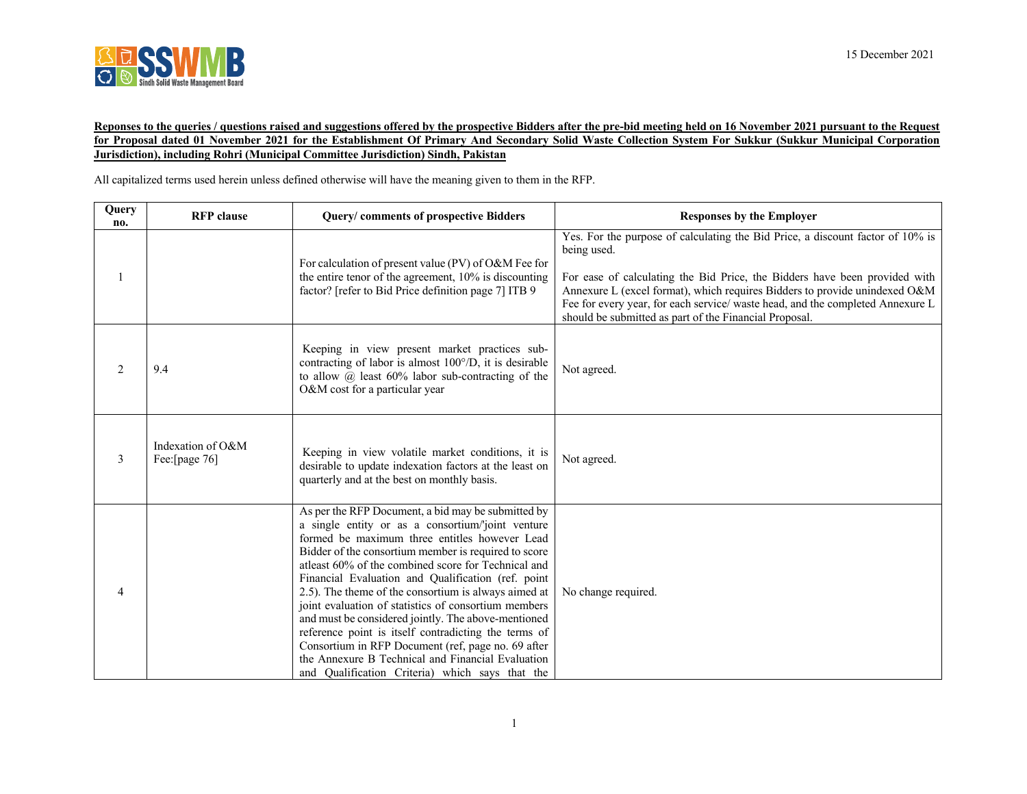

## **Reponses to the queries / questions raised and suggestions offered by the prospective Bidders after the pre-bid meeting held on 16 November 2021 pursuant to the Request for Proposal dated 01 November 2021 for the Establishment Of Primary And Secondary Solid Waste Collection System For Sukkur (Sukkur Municipal Corporation Jurisdiction), including Rohri (Municipal Committee Jurisdiction) Sindh, Pakistan**

All capitalized terms used herein unless defined otherwise will have the meaning given to them in the RFP.

| Query<br>no. | <b>RFP</b> clause                  | Query/comments of prospective Bidders                                                                                                                                                                                                                                                                                                                                                                                                                                                                                                                                                                                                                                                                                      | <b>Responses by the Employer</b>                                                                                                                                                                                                                                                                                                                                                                      |
|--------------|------------------------------------|----------------------------------------------------------------------------------------------------------------------------------------------------------------------------------------------------------------------------------------------------------------------------------------------------------------------------------------------------------------------------------------------------------------------------------------------------------------------------------------------------------------------------------------------------------------------------------------------------------------------------------------------------------------------------------------------------------------------------|-------------------------------------------------------------------------------------------------------------------------------------------------------------------------------------------------------------------------------------------------------------------------------------------------------------------------------------------------------------------------------------------------------|
|              |                                    | For calculation of present value (PV) of O&M Fee for<br>the entire tenor of the agreement, 10% is discounting<br>factor? [refer to Bid Price definition page 7] ITB 9                                                                                                                                                                                                                                                                                                                                                                                                                                                                                                                                                      | Yes. For the purpose of calculating the Bid Price, a discount factor of 10% is<br>being used.<br>For ease of calculating the Bid Price, the Bidders have been provided with<br>Annexure L (excel format), which requires Bidders to provide unindexed O&M<br>Fee for every year, for each service/ waste head, and the completed Annexure L<br>should be submitted as part of the Financial Proposal. |
| 2            | 9.4                                | Keeping in view present market practices sub-<br>contracting of labor is almost 100°/D, it is desirable<br>to allow $\omega$ least 60% labor sub-contracting of the<br>O&M cost for a particular year                                                                                                                                                                                                                                                                                                                                                                                                                                                                                                                      | Not agreed.                                                                                                                                                                                                                                                                                                                                                                                           |
| 3            | Indexation of O&M<br>Fee:[page 76] | Keeping in view volatile market conditions, it is<br>desirable to update indexation factors at the least on<br>quarterly and at the best on monthly basis.                                                                                                                                                                                                                                                                                                                                                                                                                                                                                                                                                                 | Not agreed.                                                                                                                                                                                                                                                                                                                                                                                           |
| 4            |                                    | As per the RFP Document, a bid may be submitted by<br>a single entity or as a consortium/'joint venture<br>formed be maximum three entitles however Lead<br>Bidder of the consortium member is required to score<br>atleast 60% of the combined score for Technical and<br>Financial Evaluation and Qualification (ref. point<br>2.5). The theme of the consortium is always aimed at<br>joint evaluation of statistics of consortium members<br>and must be considered jointly. The above-mentioned<br>reference point is itself contradicting the terms of<br>Consortium in RFP Document (ref, page no. 69 after<br>the Annexure B Technical and Financial Evaluation<br>and Qualification Criteria) which says that the | No change required.                                                                                                                                                                                                                                                                                                                                                                                   |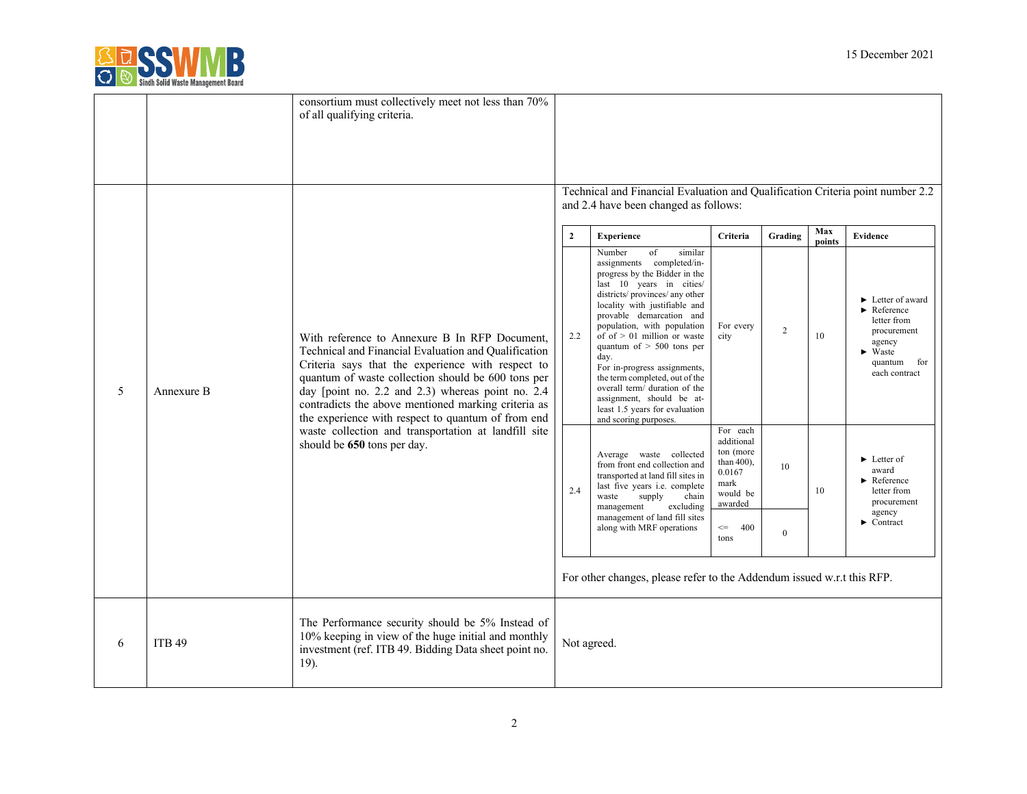

|   |               | consortium must collectively meet not less than 70%<br>of all qualifying criteria.                                                                                                                                                                                                                                                                                                                                                                                        |                |                                                                                                                                                                                                                                                                                                                                                                                                                                                                                                                   |                                                                                               |                |               |                                                                                                                                                                                 |
|---|---------------|---------------------------------------------------------------------------------------------------------------------------------------------------------------------------------------------------------------------------------------------------------------------------------------------------------------------------------------------------------------------------------------------------------------------------------------------------------------------------|----------------|-------------------------------------------------------------------------------------------------------------------------------------------------------------------------------------------------------------------------------------------------------------------------------------------------------------------------------------------------------------------------------------------------------------------------------------------------------------------------------------------------------------------|-----------------------------------------------------------------------------------------------|----------------|---------------|---------------------------------------------------------------------------------------------------------------------------------------------------------------------------------|
|   |               |                                                                                                                                                                                                                                                                                                                                                                                                                                                                           |                | Technical and Financial Evaluation and Qualification Criteria point number 2.2<br>and 2.4 have been changed as follows:                                                                                                                                                                                                                                                                                                                                                                                           |                                                                                               |                |               |                                                                                                                                                                                 |
|   |               |                                                                                                                                                                                                                                                                                                                                                                                                                                                                           | $\overline{2}$ | <b>Experience</b>                                                                                                                                                                                                                                                                                                                                                                                                                                                                                                 | Criteria                                                                                      | Grading        | Max<br>points | <b>Evidence</b>                                                                                                                                                                 |
| 5 | Annexure B    | With reference to Annexure B In RFP Document.<br>Technical and Financial Evaluation and Qualification<br>Criteria says that the experience with respect to<br>quantum of waste collection should be 600 tons per<br>day [point no. 2.2 and 2.3) whereas point no. 2.4<br>contradicts the above mentioned marking criteria as<br>the experience with respect to quantum of from end<br>waste collection and transportation at landfill site<br>should be 650 tons per day. | 2.2            | Number<br>of<br>similar<br>assignments completed/in-<br>progress by the Bidder in the<br>last 10 years in cities/<br>districts/provinces/any other<br>locality with justifiable and<br>provable demarcation and<br>population, with population<br>of of $> 01$ million or waste<br>quantum of $> 500$ tons per<br>day.<br>For in-progress assignments,<br>the term completed, out of the<br>overall term/ duration of the<br>assignment, should be at-<br>least 1.5 years for evaluation<br>and scoring purposes. | For every<br>city                                                                             | $\overline{c}$ | 10            | $\blacktriangleright$ Letter of award<br>$\blacktriangleright$ Reference<br>letter from<br>procurement<br>agency<br>$\blacktriangleright$ Waste<br>quantum for<br>each contract |
|   |               |                                                                                                                                                                                                                                                                                                                                                                                                                                                                           | 2.4            | Average waste collected<br>from front end collection and<br>transported at land fill sites in<br>last five years i.e. complete<br>supply<br>chain<br>waste<br>management<br>excluding                                                                                                                                                                                                                                                                                                                             | For each<br>additional<br>ton (more<br>than $400$ ).<br>0.0167<br>mark<br>would be<br>awarded | 10             | 10            | $\blacktriangleright$ Letter of<br>award<br>$\blacktriangleright$ Reference<br>letter from<br>procurement                                                                       |
|   |               |                                                                                                                                                                                                                                                                                                                                                                                                                                                                           |                | management of land fill sites<br>along with MRF operations                                                                                                                                                                                                                                                                                                                                                                                                                                                        | 400<br>$\mathrel{<=}$<br>tons                                                                 | $\Omega$       |               | agency<br>$\blacktriangleright$ Contract                                                                                                                                        |
|   |               |                                                                                                                                                                                                                                                                                                                                                                                                                                                                           |                | For other changes, please refer to the Addendum issued w.r.t this RFP.                                                                                                                                                                                                                                                                                                                                                                                                                                            |                                                                                               |                |               |                                                                                                                                                                                 |
| 6 | <b>ITB 49</b> | The Performance security should be 5% Instead of<br>10% keeping in view of the huge initial and monthly<br>investment (ref. ITB 49. Bidding Data sheet point no.<br>19).                                                                                                                                                                                                                                                                                                  | Not agreed.    |                                                                                                                                                                                                                                                                                                                                                                                                                                                                                                                   |                                                                                               |                |               |                                                                                                                                                                                 |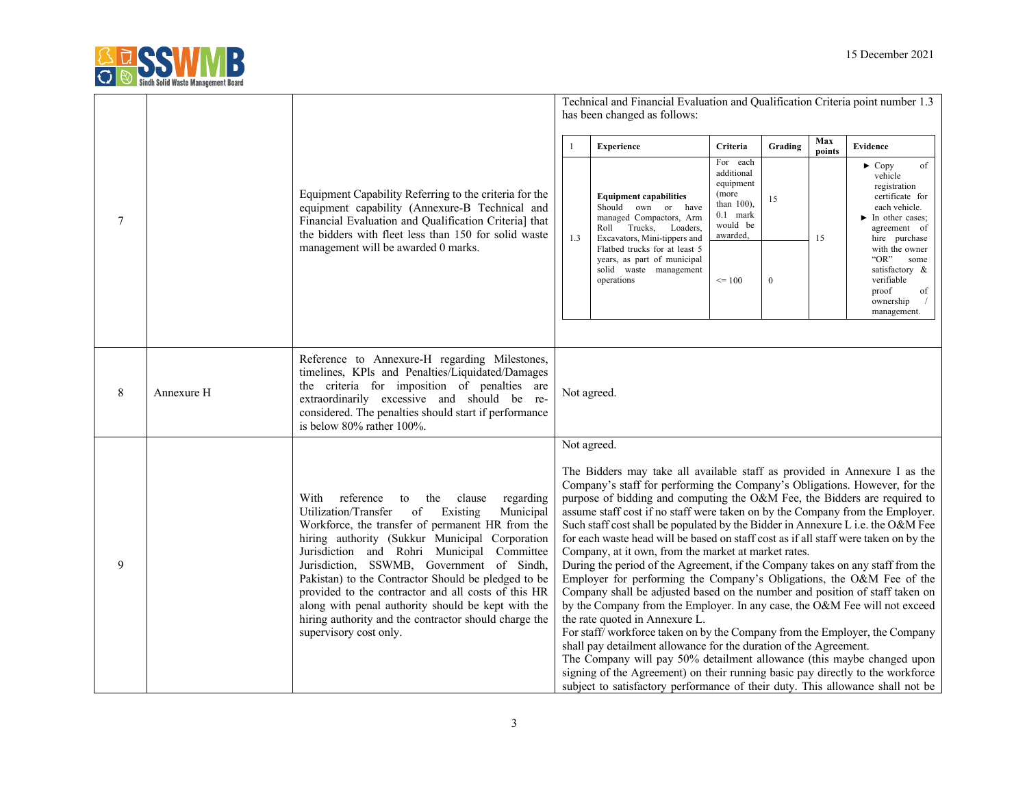

|        |            |                                                                                                                                                                                                                                                                                                                                                                                                                                                                                                                                                                |                                                                                                                                                                                                                                                                                                                                                                                                                                                                                                                                                                                                                                                                                                                                                                                                                                                                                                                                                                                                                                                                                                                                                                                                                                                                                                                                     | Technical and Financial Evaluation and Qualification Criteria point number 1.3<br>has been changed as follows:                                                                                                                                  |                                                                                                |                  |               |                                                                                                                                                          |
|--------|------------|----------------------------------------------------------------------------------------------------------------------------------------------------------------------------------------------------------------------------------------------------------------------------------------------------------------------------------------------------------------------------------------------------------------------------------------------------------------------------------------------------------------------------------------------------------------|-------------------------------------------------------------------------------------------------------------------------------------------------------------------------------------------------------------------------------------------------------------------------------------------------------------------------------------------------------------------------------------------------------------------------------------------------------------------------------------------------------------------------------------------------------------------------------------------------------------------------------------------------------------------------------------------------------------------------------------------------------------------------------------------------------------------------------------------------------------------------------------------------------------------------------------------------------------------------------------------------------------------------------------------------------------------------------------------------------------------------------------------------------------------------------------------------------------------------------------------------------------------------------------------------------------------------------------|-------------------------------------------------------------------------------------------------------------------------------------------------------------------------------------------------------------------------------------------------|------------------------------------------------------------------------------------------------|------------------|---------------|----------------------------------------------------------------------------------------------------------------------------------------------------------|
|        |            |                                                                                                                                                                                                                                                                                                                                                                                                                                                                                                                                                                |                                                                                                                                                                                                                                                                                                                                                                                                                                                                                                                                                                                                                                                                                                                                                                                                                                                                                                                                                                                                                                                                                                                                                                                                                                                                                                                                     | <b>Experience</b>                                                                                                                                                                                                                               | Criteria                                                                                       | Grading          | Max<br>points | Evidence                                                                                                                                                 |
| $\tau$ |            | Equipment Capability Referring to the criteria for the<br>equipment capability (Annexure-B Technical and<br>Financial Evaluation and Qualification Criteria] that<br>the bidders with fleet less than 150 for solid waste<br>management will be awarded 0 marks.                                                                                                                                                                                                                                                                                               | 1.3                                                                                                                                                                                                                                                                                                                                                                                                                                                                                                                                                                                                                                                                                                                                                                                                                                                                                                                                                                                                                                                                                                                                                                                                                                                                                                                                 | <b>Equipment capabilities</b><br>Should own or have<br>managed Compactors, Arm<br>Roll Trucks, Loaders,<br>Excavators, Mini-tippers and<br>Flatbed trucks for at least 5<br>years, as part of municipal<br>solid waste management<br>operations | For each<br>additional<br>equipment<br>(more<br>than 100),<br>0.1 mark<br>would be<br>awarded, | 15               | 15            | $\blacktriangleright$ Copy<br>of<br>vehicle<br>registration<br>certificate for<br>each vehicle.<br>$\blacktriangleright$ In other cases;<br>agreement of |
|        |            |                                                                                                                                                                                                                                                                                                                                                                                                                                                                                                                                                                |                                                                                                                                                                                                                                                                                                                                                                                                                                                                                                                                                                                                                                                                                                                                                                                                                                                                                                                                                                                                                                                                                                                                                                                                                                                                                                                                     |                                                                                                                                                                                                                                                 | $\leq 100$                                                                                     | $\boldsymbol{0}$ |               | hire purchase<br>with the owner<br>"OR"<br>some<br>satisfactory &<br>verifiable<br>proof<br>of<br>ownership<br>management.                               |
| 8      | Annexure H | Reference to Annexure-H regarding Milestones,<br>timelines, KPls and Penalties/Liquidated/Damages<br>the criteria for imposition of penalties are<br>extraordinarily excessive and should be re-<br>considered. The penalties should start if performance<br>is below 80% rather 100%.                                                                                                                                                                                                                                                                         | Not agreed.                                                                                                                                                                                                                                                                                                                                                                                                                                                                                                                                                                                                                                                                                                                                                                                                                                                                                                                                                                                                                                                                                                                                                                                                                                                                                                                         |                                                                                                                                                                                                                                                 |                                                                                                |                  |               |                                                                                                                                                          |
| 9      |            | reference<br>With<br>to the clause<br>regarding<br>Municipal<br>Utilization/Transfer<br>Existing<br>of<br>Workforce, the transfer of permanent HR from the<br>hiring authority (Sukkur Municipal Corporation<br>Jurisdiction and Rohri Municipal Committee<br>Jurisdiction, SSWMB, Government of Sindh,<br>Pakistan) to the Contractor Should be pledged to be<br>provided to the contractor and all costs of this HR<br>along with penal authority should be kept with the<br>hiring authority and the contractor should charge the<br>supervisory cost only. | Not agreed.<br>The Bidders may take all available staff as provided in Annexure I as the<br>Company's staff for performing the Company's Obligations. However, for the<br>purpose of bidding and computing the O&M Fee, the Bidders are required to<br>assume staff cost if no staff were taken on by the Company from the Employer.<br>Such staff cost shall be populated by the Bidder in Annexure L i.e. the O&M Fee<br>for each waste head will be based on staff cost as if all staff were taken on by the<br>Company, at it own, from the market at market rates.<br>During the period of the Agreement, if the Company takes on any staff from the<br>Employer for performing the Company's Obligations, the O&M Fee of the<br>Company shall be adjusted based on the number and position of staff taken on<br>by the Company from the Employer. In any case, the O&M Fee will not exceed<br>the rate quoted in Annexure L.<br>For staff/workforce taken on by the Company from the Employer, the Company<br>shall pay detailment allowance for the duration of the Agreement.<br>The Company will pay 50% detailment allowance (this maybe changed upon<br>signing of the Agreement) on their running basic pay directly to the workforce<br>subject to satisfactory performance of their duty. This allowance shall not be |                                                                                                                                                                                                                                                 |                                                                                                |                  |               |                                                                                                                                                          |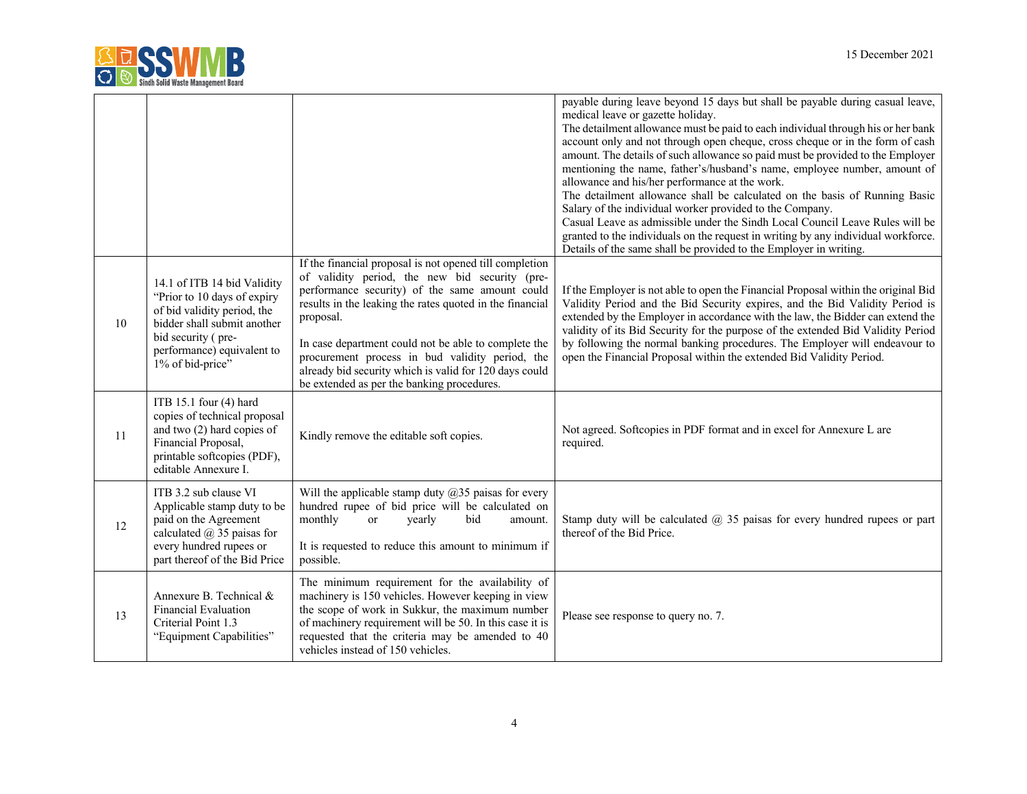

|    |                                                                                                                                                                                                  |                                                                                                                                                                                                                                                                                                                                                                                                                                                         | payable during leave beyond 15 days but shall be payable during casual leave,<br>medical leave or gazette holiday.<br>The detailment allowance must be paid to each individual through his or her bank<br>account only and not through open cheque, cross cheque or in the form of cash<br>amount. The details of such allowance so paid must be provided to the Employer<br>mentioning the name, father's/husband's name, employee number, amount of<br>allowance and his/her performance at the work.<br>The detailment allowance shall be calculated on the basis of Running Basic<br>Salary of the individual worker provided to the Company.<br>Casual Leave as admissible under the Sindh Local Council Leave Rules will be<br>granted to the individuals on the request in writing by any individual workforce.<br>Details of the same shall be provided to the Employer in writing. |
|----|--------------------------------------------------------------------------------------------------------------------------------------------------------------------------------------------------|---------------------------------------------------------------------------------------------------------------------------------------------------------------------------------------------------------------------------------------------------------------------------------------------------------------------------------------------------------------------------------------------------------------------------------------------------------|---------------------------------------------------------------------------------------------------------------------------------------------------------------------------------------------------------------------------------------------------------------------------------------------------------------------------------------------------------------------------------------------------------------------------------------------------------------------------------------------------------------------------------------------------------------------------------------------------------------------------------------------------------------------------------------------------------------------------------------------------------------------------------------------------------------------------------------------------------------------------------------------|
| 10 | 14.1 of ITB 14 bid Validity<br>"Prior to 10 days of expiry<br>of bid validity period, the<br>bidder shall submit another<br>bid security (pre-<br>performance) equivalent to<br>1% of bid-price" | If the financial proposal is not opened till completion<br>of validity period, the new bid security (pre-<br>performance security) of the same amount could<br>results in the leaking the rates quoted in the financial<br>proposal.<br>In case department could not be able to complete the<br>procurement process in bud validity period, the<br>already bid security which is valid for 120 days could<br>be extended as per the banking procedures. | If the Employer is not able to open the Financial Proposal within the original Bid<br>Validity Period and the Bid Security expires, and the Bid Validity Period is<br>extended by the Employer in accordance with the law, the Bidder can extend the<br>validity of its Bid Security for the purpose of the extended Bid Validity Period<br>by following the normal banking procedures. The Employer will endeavour to<br>open the Financial Proposal within the extended Bid Validity Period.                                                                                                                                                                                                                                                                                                                                                                                              |
| 11 | ITB 15.1 four (4) hard<br>copies of technical proposal<br>and two $(2)$ hard copies of<br>Financial Proposal,<br>printable softcopies (PDF),<br>editable Annexure I.                             | Kindly remove the editable soft copies.                                                                                                                                                                                                                                                                                                                                                                                                                 | Not agreed. Softcopies in PDF format and in excel for Annexure L are<br>required.                                                                                                                                                                                                                                                                                                                                                                                                                                                                                                                                                                                                                                                                                                                                                                                                           |
| 12 | ITB 3.2 sub clause VI<br>Applicable stamp duty to be<br>paid on the Agreement<br>calculated $\omega$ 35 paisas for<br>every hundred rupees or<br>part thereof of the Bid Price                   | Will the applicable stamp duty $@35$ paisas for every<br>hundred rupee of bid price will be calculated on<br>monthly<br>yearly<br>bid<br><sub>or</sub><br>amount.<br>It is requested to reduce this amount to minimum if<br>possible.                                                                                                                                                                                                                   | Stamp duty will be calculated $\omega$ 35 paisas for every hundred rupees or part<br>thereof of the Bid Price.                                                                                                                                                                                                                                                                                                                                                                                                                                                                                                                                                                                                                                                                                                                                                                              |
| 13 | Annexure B. Technical &<br><b>Financial Evaluation</b><br>Criterial Point 1.3<br>"Equipment Capabilities"                                                                                        | The minimum requirement for the availability of<br>machinery is 150 vehicles. However keeping in view<br>the scope of work in Sukkur, the maximum number<br>of machinery requirement will be 50. In this case it is<br>requested that the criteria may be amended to 40<br>vehicles instead of 150 vehicles.                                                                                                                                            | Please see response to query no. 7.                                                                                                                                                                                                                                                                                                                                                                                                                                                                                                                                                                                                                                                                                                                                                                                                                                                         |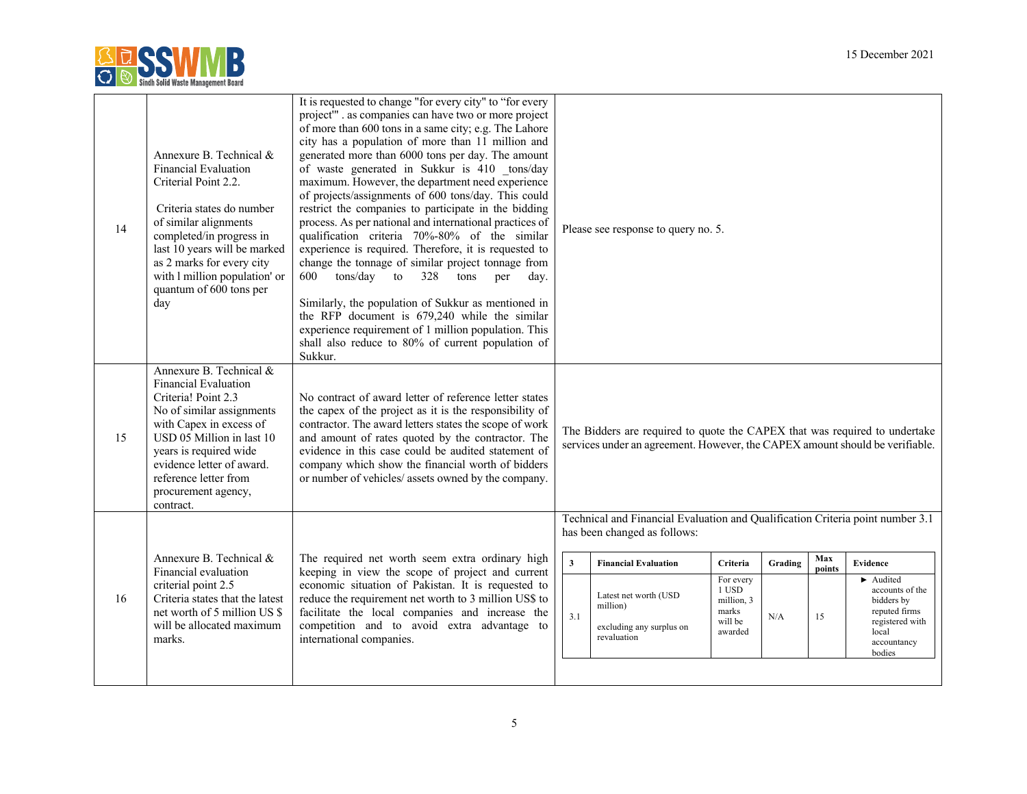

| 14 | Annexure B. Technical &<br><b>Financial Evaluation</b><br>Criterial Point 2.2.<br>Criteria states do number<br>of similar alignments<br>completed/in progress in<br>last 10 years will be marked<br>as 2 marks for every city<br>with I million population' or<br>quantum of 600 tons per<br>day | It is requested to change "for every city" to "for every<br>project" . as companies can have two or more project<br>of more than 600 tons in a same city; e.g. The Lahore<br>city has a population of more than 11 million and<br>generated more than 6000 tons per day. The amount<br>of waste generated in Sukkur is 410 tons/day<br>maximum. However, the department need experience<br>of projects/assignments of 600 tons/day. This could<br>restrict the companies to participate in the bidding<br>process. As per national and international practices of<br>qualification criteria 70%-80% of the similar<br>experience is required. Therefore, it is requested to<br>change the tonnage of similar project tonnage from<br>600<br>tons/day to<br>328<br>tons<br>per<br>dav.<br>Similarly, the population of Sukkur as mentioned in<br>the RFP document is 679,240 while the similar<br>experience requirement of 1 million population. This<br>shall also reduce to 80% of current population of<br>Sukkur. |                                | Please see response to query no. 5.                                                                                                                                                                                           |                                                                             |                |                     |                                                                                                                                                  |
|----|--------------------------------------------------------------------------------------------------------------------------------------------------------------------------------------------------------------------------------------------------------------------------------------------------|-----------------------------------------------------------------------------------------------------------------------------------------------------------------------------------------------------------------------------------------------------------------------------------------------------------------------------------------------------------------------------------------------------------------------------------------------------------------------------------------------------------------------------------------------------------------------------------------------------------------------------------------------------------------------------------------------------------------------------------------------------------------------------------------------------------------------------------------------------------------------------------------------------------------------------------------------------------------------------------------------------------------------|--------------------------------|-------------------------------------------------------------------------------------------------------------------------------------------------------------------------------------------------------------------------------|-----------------------------------------------------------------------------|----------------|---------------------|--------------------------------------------------------------------------------------------------------------------------------------------------|
| 15 | Annexure B. Technical &<br><b>Financial Evaluation</b><br>Criteria! Point 2.3<br>No of similar assignments<br>with Capex in excess of<br>USD 05 Million in last 10<br>years is required wide<br>evidence letter of award.<br>reference letter from<br>procurement agency,<br>contract.           | No contract of award letter of reference letter states<br>the capex of the project as it is the responsibility of<br>contractor. The award letters states the scope of work<br>and amount of rates quoted by the contractor. The<br>evidence in this case could be audited statement of<br>company which show the financial worth of bidders<br>or number of vehicles/ assets owned by the company.                                                                                                                                                                                                                                                                                                                                                                                                                                                                                                                                                                                                                   |                                | The Bidders are required to quote the CAPEX that was required to undertake<br>services under an agreement. However, the CAPEX amount should be verifiable.                                                                    |                                                                             |                |                     |                                                                                                                                                  |
| 16 | Annexure B. Technical &<br>Financial evaluation<br>criterial point 2.5<br>Criteria states that the latest<br>net worth of 5 million US \$<br>will be allocated maximum<br>marks.                                                                                                                 | The required net worth seem extra ordinary high<br>keeping in view the scope of project and current<br>economic situation of Pakistan. It is requested to<br>reduce the requirement net worth to 3 million US\$ to<br>facilitate the local companies and increase the<br>competition and to avoid extra advantage to<br>international companies.                                                                                                                                                                                                                                                                                                                                                                                                                                                                                                                                                                                                                                                                      | $\overline{\mathbf{3}}$<br>3.1 | Technical and Financial Evaluation and Qualification Criteria point number 3.1<br>has been changed as follows:<br><b>Financial Evaluation</b><br>Latest net worth (USD<br>million)<br>excluding any surplus on<br>revaluation | Criteria<br>For every<br>1 USD<br>million, 3<br>marks<br>will be<br>awarded | Grading<br>N/A | Max<br>points<br>15 | Evidence<br>$\blacktriangleright$ Audited<br>accounts of the<br>bidders by<br>reputed firms<br>registered with<br>local<br>accountancy<br>bodies |
|    |                                                                                                                                                                                                                                                                                                  |                                                                                                                                                                                                                                                                                                                                                                                                                                                                                                                                                                                                                                                                                                                                                                                                                                                                                                                                                                                                                       |                                |                                                                                                                                                                                                                               |                                                                             |                |                     |                                                                                                                                                  |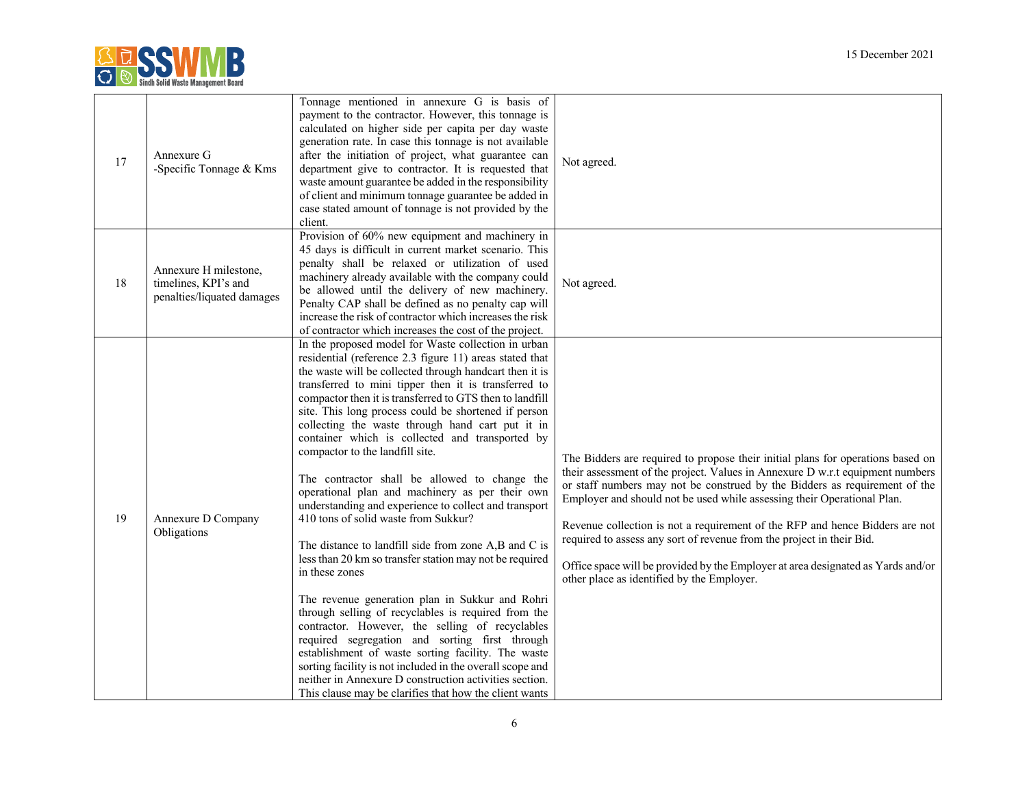

| 17 | Annexure G<br>-Specific Tonnage & Kms                                       | Tonnage mentioned in annexure G is basis of<br>payment to the contractor. However, this tonnage is<br>calculated on higher side per capita per day waste<br>generation rate. In case this tonnage is not available<br>after the initiation of project, what guarantee can<br>department give to contractor. It is requested that<br>waste amount guarantee be added in the responsibility<br>of client and minimum tonnage guarantee be added in<br>case stated amount of tonnage is not provided by the<br>client.                                                                                                                                                                                                                                                                                                                                                                                                                                                                                                                                                                                                                                                                                                                                                                             | Not agreed.                                                                                                                                                                                                                                                                                                                                                                                                                                                                                                                                                                                                          |
|----|-----------------------------------------------------------------------------|-------------------------------------------------------------------------------------------------------------------------------------------------------------------------------------------------------------------------------------------------------------------------------------------------------------------------------------------------------------------------------------------------------------------------------------------------------------------------------------------------------------------------------------------------------------------------------------------------------------------------------------------------------------------------------------------------------------------------------------------------------------------------------------------------------------------------------------------------------------------------------------------------------------------------------------------------------------------------------------------------------------------------------------------------------------------------------------------------------------------------------------------------------------------------------------------------------------------------------------------------------------------------------------------------|----------------------------------------------------------------------------------------------------------------------------------------------------------------------------------------------------------------------------------------------------------------------------------------------------------------------------------------------------------------------------------------------------------------------------------------------------------------------------------------------------------------------------------------------------------------------------------------------------------------------|
| 18 | Annexure H milestone,<br>timelines, KPI's and<br>penalties/liquated damages | Provision of 60% new equipment and machinery in<br>45 days is difficult in current market scenario. This<br>penalty shall be relaxed or utilization of used<br>machinery already available with the company could<br>be allowed until the delivery of new machinery.<br>Penalty CAP shall be defined as no penalty cap will<br>increase the risk of contractor which increases the risk<br>of contractor which increases the cost of the project.                                                                                                                                                                                                                                                                                                                                                                                                                                                                                                                                                                                                                                                                                                                                                                                                                                               | Not agreed.                                                                                                                                                                                                                                                                                                                                                                                                                                                                                                                                                                                                          |
| 19 | Annexure D Company<br>Obligations                                           | In the proposed model for Waste collection in urban<br>residential (reference 2.3 figure 11) areas stated that<br>the waste will be collected through handcart then it is<br>transferred to mini tipper then it is transferred to<br>compactor then it is transferred to GTS then to landfill<br>site. This long process could be shortened if person<br>collecting the waste through hand cart put it in<br>container which is collected and transported by<br>compactor to the landfill site.<br>The contractor shall be allowed to change the<br>operational plan and machinery as per their own<br>understanding and experience to collect and transport<br>410 tons of solid waste from Sukkur?<br>The distance to landfill side from zone A,B and C is<br>less than 20 km so transfer station may not be required<br>in these zones<br>The revenue generation plan in Sukkur and Rohri<br>through selling of recyclables is required from the<br>contractor. However, the selling of recyclables<br>required segregation and sorting first through<br>establishment of waste sorting facility. The waste<br>sorting facility is not included in the overall scope and<br>neither in Annexure D construction activities section.<br>This clause may be clarifies that how the client wants | The Bidders are required to propose their initial plans for operations based on<br>their assessment of the project. Values in Annexure D w.r.t equipment numbers<br>or staff numbers may not be construed by the Bidders as requirement of the<br>Employer and should not be used while assessing their Operational Plan.<br>Revenue collection is not a requirement of the RFP and hence Bidders are not<br>required to assess any sort of revenue from the project in their Bid.<br>Office space will be provided by the Employer at area designated as Yards and/or<br>other place as identified by the Employer. |